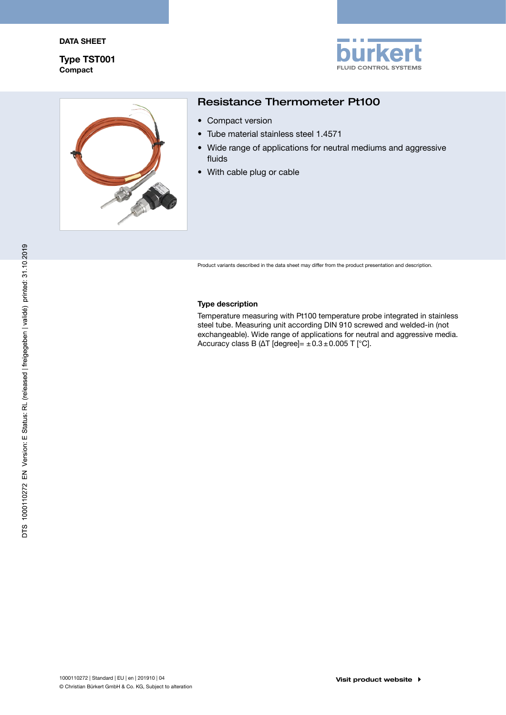Compact Type TST001





# Resistance Thermometer Pt100

- Compact version
- • Tube material stainless steel 1.4571
- Wide range of applications for neutral mediums and aggressive fluids
- With cable plug or cable

Product variants described in the data sheet may differ from the product presentation and description.

#### Type description

Temperature measuring with Pt100 temperature probe integrated in stainless steel tube. Measuring unit according DIN 910 screwed and welded-in (not exchangeable). Wide range of applications for neutral and aggressive media. Accuracy class B ( $\Delta T$  [degree]=  $\pm 0.3 \pm 0.005$  T [°C].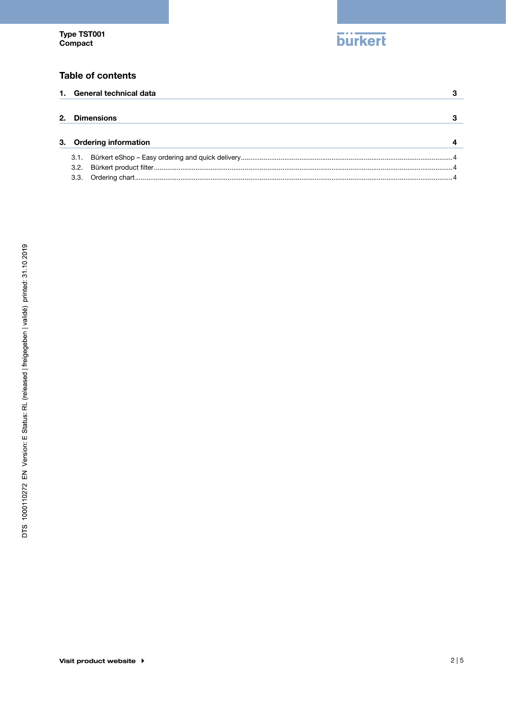

# **Table of contents**

|    |                         | 1. General technical data |  |
|----|-------------------------|---------------------------|--|
|    |                         |                           |  |
| 2. |                         | <b>Dimensions</b>         |  |
|    |                         |                           |  |
|    | 3. Ordering information |                           |  |
|    | 3.1.                    |                           |  |
|    | 3.2.                    |                           |  |
|    | 3.3.                    |                           |  |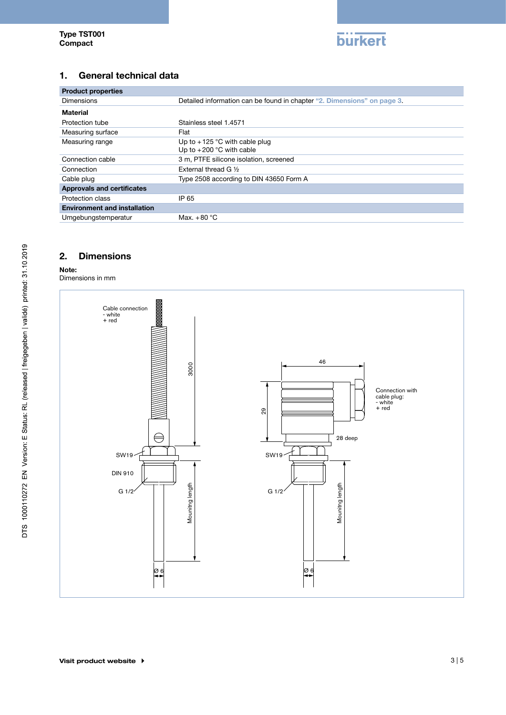

# <span id="page-2-0"></span>1. General technical data

| <b>Product properties</b>           |                                                                         |  |  |  |  |
|-------------------------------------|-------------------------------------------------------------------------|--|--|--|--|
| <b>Dimensions</b>                   | Detailed information can be found in chapter "2. Dimensions" on page 3. |  |  |  |  |
| Material                            |                                                                         |  |  |  |  |
| Protection tube                     | Stainless steel 1.4571                                                  |  |  |  |  |
| Measuring surface                   | Flat                                                                    |  |  |  |  |
| Measuring range                     | Up to $+125$ °C with cable plug<br>Up to $+200$ °C with cable           |  |  |  |  |
| Connection cable                    | 3 m, PTFE silicone isolation, screened                                  |  |  |  |  |
| Connection                          | External thread G 1/2                                                   |  |  |  |  |
| Cable plug                          | Type 2508 according to DIN 43650 Form A                                 |  |  |  |  |
| <b>Approvals and certificates</b>   |                                                                         |  |  |  |  |
| Protection class                    | IP 65                                                                   |  |  |  |  |
| <b>Environment and installation</b> |                                                                         |  |  |  |  |
| Umgebungstemperatur                 | Max. $+80^{\circ}$ C                                                    |  |  |  |  |

# <span id="page-2-1"></span>2. Dimensions

#### Note:

Dimensions in mm

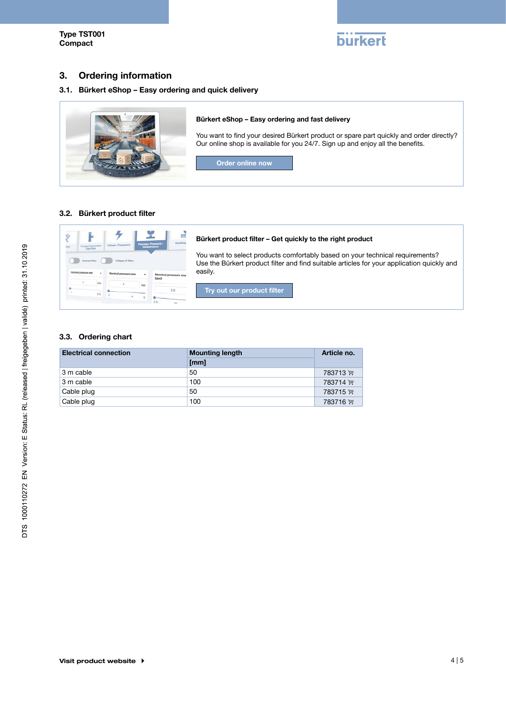

# <span id="page-3-0"></span>3. Ordering information

#### 3.1. Bürkert eShop – Easy ordering and quick delivery



#### 3.2. Bürkert product filter



#### 3.3. Ordering chart

| <b>Electrical connection</b> | <b>Mounting length</b> | Article no. |
|------------------------------|------------------------|-------------|
|                              | [mm]                   |             |
| 3 m cable                    | 50                     | 783713 ড়   |
| 3 m cable                    | 100                    | 783714 )    |
| Cable plug                   | 50                     | 783715 P.   |
| Cable plug                   | 100                    | 783716 ™়   |